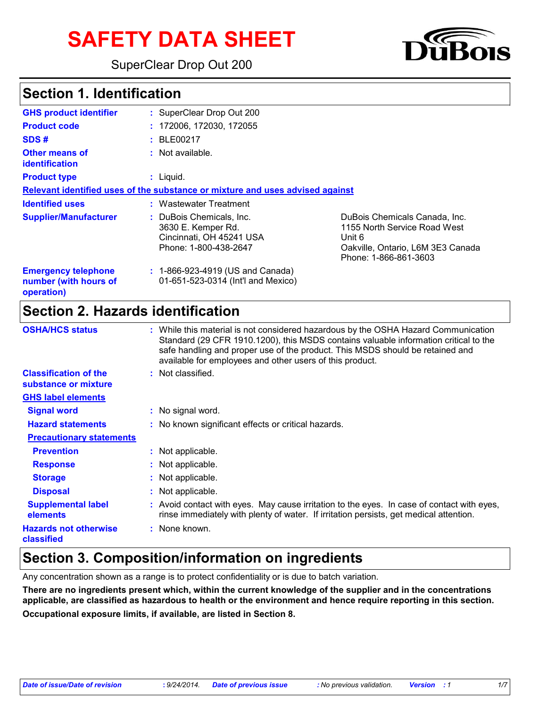# **SAFETY DATA SHEET**

SuperClear Drop Out 200



### **Section 1. Identification**

| <b>GHS product identifier</b>                                     | : SuperClear Drop Out 200                                                                           |                                                                                                                                       |  |
|-------------------------------------------------------------------|-----------------------------------------------------------------------------------------------------|---------------------------------------------------------------------------------------------------------------------------------------|--|
| <b>Product code</b>                                               | : 172006, 172030, 172055                                                                            |                                                                                                                                       |  |
| SDS#                                                              | : BE00217                                                                                           |                                                                                                                                       |  |
| <b>Other means of</b><br><b>identification</b>                    | : Not available.                                                                                    |                                                                                                                                       |  |
| <b>Product type</b>                                               | $:$ Liquid.                                                                                         |                                                                                                                                       |  |
|                                                                   | Relevant identified uses of the substance or mixture and uses advised against                       |                                                                                                                                       |  |
| <b>Identified uses</b>                                            | : Wastewater Treatment                                                                              |                                                                                                                                       |  |
| <b>Supplier/Manufacturer</b>                                      | : DuBois Chemicals, Inc.<br>3630 E. Kemper Rd.<br>Cincinnati, OH 45241 USA<br>Phone: 1-800-438-2647 | DuBois Chemicals Canada, Inc.<br>1155 North Service Road West<br>Unit 6<br>Oakville, Ontario, L6M 3E3 Canada<br>Phone: 1-866-861-3603 |  |
| <b>Emergency telephone</b><br>number (with hours of<br>operation) | : 1-866-923-4919 (US and Canada)<br>01-651-523-0314 (Int'l and Mexico)                              |                                                                                                                                       |  |

# **Section 2. Hazards identification**

| <b>OSHA/HCS status</b>                               | : While this material is not considered hazardous by the OSHA Hazard Communication<br>Standard (29 CFR 1910.1200), this MSDS contains valuable information critical to the<br>safe handling and proper use of the product. This MSDS should be retained and<br>available for employees and other users of this product. |
|------------------------------------------------------|-------------------------------------------------------------------------------------------------------------------------------------------------------------------------------------------------------------------------------------------------------------------------------------------------------------------------|
| <b>Classification of the</b><br>substance or mixture | : Not classified.                                                                                                                                                                                                                                                                                                       |
| <b>GHS label elements</b>                            |                                                                                                                                                                                                                                                                                                                         |
| <b>Signal word</b>                                   | : No signal word.                                                                                                                                                                                                                                                                                                       |
| <b>Hazard statements</b>                             | : No known significant effects or critical hazards.                                                                                                                                                                                                                                                                     |
| <b>Precautionary statements</b>                      |                                                                                                                                                                                                                                                                                                                         |
| <b>Prevention</b>                                    | : Not applicable.                                                                                                                                                                                                                                                                                                       |
| <b>Response</b>                                      | : Not applicable.                                                                                                                                                                                                                                                                                                       |
| <b>Storage</b>                                       | : Not applicable.                                                                                                                                                                                                                                                                                                       |
| <b>Disposal</b>                                      | : Not applicable.                                                                                                                                                                                                                                                                                                       |
| <b>Supplemental label</b><br>elements                | : Avoid contact with eyes. May cause irritation to the eyes. In case of contact with eyes,<br>rinse immediately with plenty of water. If irritation persists, get medical attention.                                                                                                                                    |
| <b>Hazards not otherwise</b><br>classified           | : None known.                                                                                                                                                                                                                                                                                                           |

# **Section 3. Composition/information on ingredients**

Any concentration shown as a range is to protect confidentiality or is due to batch variation.

**There are no ingredients present which, within the current knowledge of the supplier and in the concentrations applicable, are classified as hazardous to health or the environment and hence require reporting in this section.**

**Occupational exposure limits, if available, are listed in Section 8.**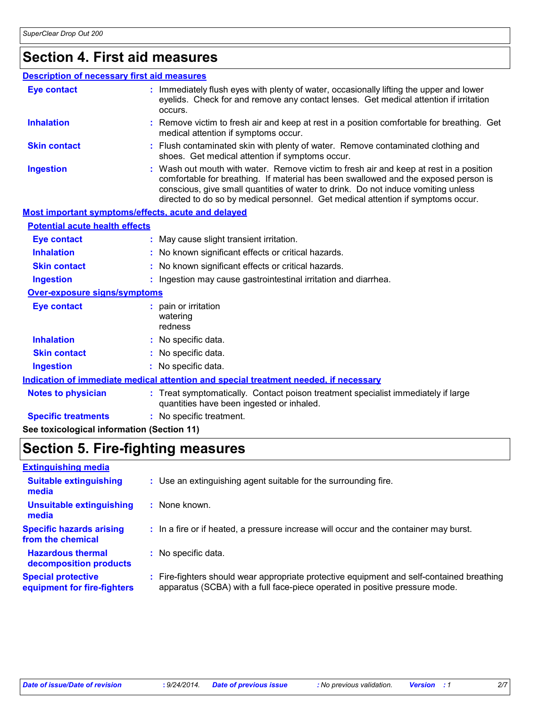#### **Section 4. First aid measures**

#### : Wash out mouth with water. Remove victim to fresh air and keep at rest in a position comfortable for breathing. If material has been swallowed and the exposed person is conscious, give small quantities of water to drink. Do not induce vomiting unless directed to do so by medical personnel. Get medical attention if symptoms occur. **:** Immediately flush eyes with plenty of water, occasionally lifting the upper and lower eyelids. Check for and remove any contact lenses. Get medical attention if irritation occurs. Flush contaminated skin with plenty of water. Remove contaminated clothing and **:** shoes. Get medical attention if symptoms occur. Remove victim to fresh air and keep at rest in a position comfortable for breathing. Get **:** medical attention if symptoms occur. **Eye contact Skin contact Inhalation Ingestion : Notes to physician <b>:** Treat symptomatically. Contact poison treatment specialist immediately if large quantities have been ingested or inhaled. **Description of necessary first aid measures Specific treatments :** No specific treatment. **Most important symptoms/effects, acute and delayed Inhalation :** No known significant effects or critical hazards. **Ingestion :** Ingestion may cause gastrointestinal irritation and diarrhea. **Skin contact :** No known significant effects or critical hazards. **Eye contact :** May cause slight transient irritation. **Over-exposure signs/symptoms Skin contact Ingestion Inhalation :** No specific data. No specific data. **:** No specific data. **: Eye contact :** pain or irritation watering redness **Potential acute health effects See toxicological information (Section 11) Indication of immediate medical attention and special treatment needed, if necessary**

### **Section 5. Fire-fighting measures**

| : Use an extinguishing agent suitable for the surrounding fire.                                                                                                        |
|------------------------------------------------------------------------------------------------------------------------------------------------------------------------|
| None known.                                                                                                                                                            |
| : In a fire or if heated, a pressure increase will occur and the container may burst.                                                                                  |
| : No specific data.                                                                                                                                                    |
| Fire-fighters should wear appropriate protective equipment and self-contained breathing<br>apparatus (SCBA) with a full face-piece operated in positive pressure mode. |
|                                                                                                                                                                        |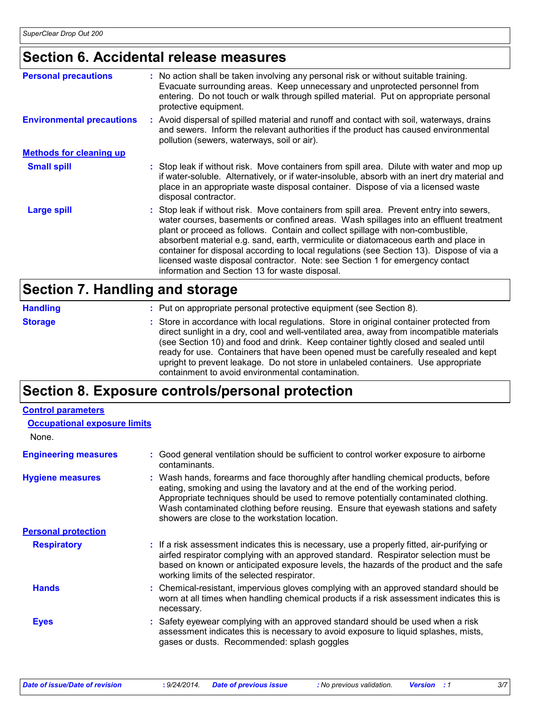# **Section 6. Accidental release measures**

| <b>Personal precautions</b>      | : No action shall be taken involving any personal risk or without suitable training.<br>Evacuate surrounding areas. Keep unnecessary and unprotected personnel from<br>entering. Do not touch or walk through spilled material. Put on appropriate personal<br>protective equipment.                                                                                                                                                                                                                                                                                                       |
|----------------------------------|--------------------------------------------------------------------------------------------------------------------------------------------------------------------------------------------------------------------------------------------------------------------------------------------------------------------------------------------------------------------------------------------------------------------------------------------------------------------------------------------------------------------------------------------------------------------------------------------|
| <b>Environmental precautions</b> | Avoid dispersal of spilled material and runoff and contact with soil, waterways, drains<br>and sewers. Inform the relevant authorities if the product has caused environmental<br>pollution (sewers, waterways, soil or air).                                                                                                                                                                                                                                                                                                                                                              |
| <b>Methods for cleaning up</b>   |                                                                                                                                                                                                                                                                                                                                                                                                                                                                                                                                                                                            |
| <b>Small spill</b>               | Stop leak if without risk. Move containers from spill area. Dilute with water and mop up<br>if water-soluble. Alternatively, or if water-insoluble, absorb with an inert dry material and<br>place in an appropriate waste disposal container. Dispose of via a licensed waste<br>disposal contractor.                                                                                                                                                                                                                                                                                     |
| <b>Large spill</b>               | : Stop leak if without risk. Move containers from spill area. Prevent entry into sewers,<br>water courses, basements or confined areas. Wash spillages into an effluent treatment<br>plant or proceed as follows. Contain and collect spillage with non-combustible,<br>absorbent material e.g. sand, earth, vermiculite or diatomaceous earth and place in<br>container for disposal according to local regulations (see Section 13). Dispose of via a<br>licensed waste disposal contractor. Note: see Section 1 for emergency contact<br>information and Section 13 for waste disposal. |

#### **Section 7. Handling and storage**

| <b>Handling</b> | : Put on appropriate personal protective equipment (see Section 8).                                                                                                                                                                                                                                                                                                                                                                                                                                           |
|-----------------|---------------------------------------------------------------------------------------------------------------------------------------------------------------------------------------------------------------------------------------------------------------------------------------------------------------------------------------------------------------------------------------------------------------------------------------------------------------------------------------------------------------|
| <b>Storage</b>  | : Store in accordance with local regulations. Store in original container protected from<br>direct sunlight in a dry, cool and well-ventilated area, away from incompatible materials<br>(see Section 10) and food and drink. Keep container tightly closed and sealed until<br>ready for use. Containers that have been opened must be carefully resealed and kept<br>upright to prevent leakage. Do not store in unlabeled containers. Use appropriate<br>containment to avoid environmental contamination. |

# **Section 8. Exposure controls/personal protection**

| <b>Control parameters</b>           |                                                                                                                                                                                                                                                                                                                                                                                                   |
|-------------------------------------|---------------------------------------------------------------------------------------------------------------------------------------------------------------------------------------------------------------------------------------------------------------------------------------------------------------------------------------------------------------------------------------------------|
| <b>Occupational exposure limits</b> |                                                                                                                                                                                                                                                                                                                                                                                                   |
| None.                               |                                                                                                                                                                                                                                                                                                                                                                                                   |
| <b>Engineering measures</b>         | Good general ventilation should be sufficient to control worker exposure to airborne<br>contaminants.                                                                                                                                                                                                                                                                                             |
| <b>Hygiene measures</b>             | : Wash hands, forearms and face thoroughly after handling chemical products, before<br>eating, smoking and using the lavatory and at the end of the working period.<br>Appropriate techniques should be used to remove potentially contaminated clothing.<br>Wash contaminated clothing before reusing. Ensure that eyewash stations and safety<br>showers are close to the workstation location. |
| <b>Personal protection</b>          |                                                                                                                                                                                                                                                                                                                                                                                                   |
| <b>Respiratory</b>                  | : If a risk assessment indicates this is necessary, use a properly fitted, air-purifying or<br>airfed respirator complying with an approved standard. Respirator selection must be<br>based on known or anticipated exposure levels, the hazards of the product and the safe<br>working limits of the selected respirator.                                                                        |
| <b>Hands</b>                        | : Chemical-resistant, impervious gloves complying with an approved standard should be<br>worn at all times when handling chemical products if a risk assessment indicates this is<br>necessary.                                                                                                                                                                                                   |
| <b>Eyes</b>                         | : Safety eyewear complying with an approved standard should be used when a risk<br>assessment indicates this is necessary to avoid exposure to liquid splashes, mists,<br>gases or dusts. Recommended: splash goggles                                                                                                                                                                             |
|                                     |                                                                                                                                                                                                                                                                                                                                                                                                   |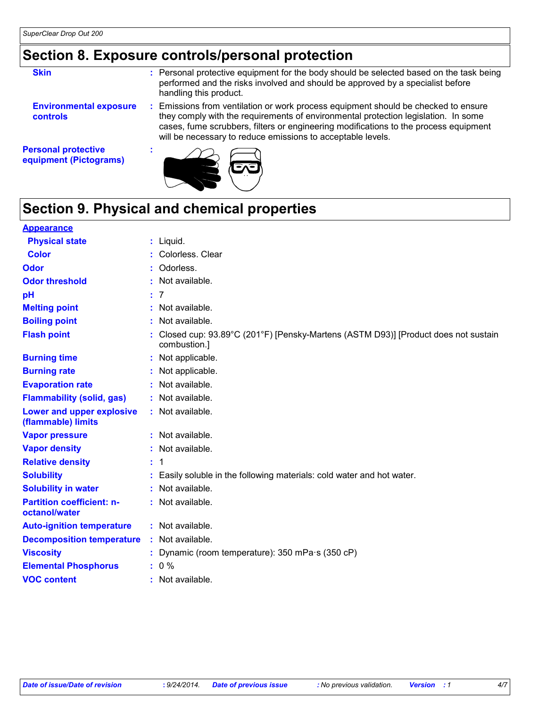# **Section 8. Exposure controls/personal protection**

| <b>Skin</b>                                      | : Personal protective equipment for the body should be selected based on the task being<br>performed and the risks involved and should be approved by a specialist before<br>handling this product.                                                                                                                           |
|--------------------------------------------------|-------------------------------------------------------------------------------------------------------------------------------------------------------------------------------------------------------------------------------------------------------------------------------------------------------------------------------|
| <b>Environmental exposure</b><br><b>controls</b> | Emissions from ventilation or work process equipment should be checked to ensure<br>they comply with the requirements of environmental protection legislation. In some<br>cases, fume scrubbers, filters or engineering modifications to the process equipment<br>will be necessary to reduce emissions to acceptable levels. |

**Personal protective equipment (Pictograms)**



# **Section 9. Physical and chemical properties**

**:**

| <b>Appearance</b>                                 |    |                                                                                                   |
|---------------------------------------------------|----|---------------------------------------------------------------------------------------------------|
| <b>Physical state</b>                             |    | : Liquid.                                                                                         |
| <b>Color</b>                                      |    | Colorless. Clear                                                                                  |
| Odor                                              |    | Odorless.                                                                                         |
| <b>Odor threshold</b>                             |    | : Not available.                                                                                  |
| pH                                                | ÷. | -7                                                                                                |
| <b>Melting point</b>                              |    | Not available.                                                                                    |
| <b>Boiling point</b>                              |    | Not available.                                                                                    |
| <b>Flash point</b>                                |    | Closed cup: 93.89°C (201°F) [Pensky-Martens (ASTM D93)] [Product does not sustain<br>combustion.] |
| <b>Burning time</b>                               |    | Not applicable.                                                                                   |
| <b>Burning rate</b>                               |    | Not applicable.                                                                                   |
| <b>Evaporation rate</b>                           | ÷. | Not available.                                                                                    |
| <b>Flammability (solid, gas)</b>                  |    | Not available.                                                                                    |
| Lower and upper explosive<br>(flammable) limits   |    | : Not available.                                                                                  |
| <b>Vapor pressure</b>                             |    | : Not available.                                                                                  |
| <b>Vapor density</b>                              |    | : Not available.                                                                                  |
| <b>Relative density</b>                           | ÷. | -1                                                                                                |
| <b>Solubility</b>                                 |    | Easily soluble in the following materials: cold water and hot water.                              |
| <b>Solubility in water</b>                        |    | Not available.                                                                                    |
| <b>Partition coefficient: n-</b><br>octanol/water |    | : Not available.                                                                                  |
| <b>Auto-ignition temperature</b>                  |    | : Not available.                                                                                  |
| <b>Decomposition temperature</b>                  | ÷. | Not available.                                                                                    |
| <b>Viscosity</b>                                  |    | : Dynamic (room temperature): $350$ mPa $\cdot$ s (350 cP)                                        |
| <b>Elemental Phosphorus</b>                       |    | $: 0 \%$                                                                                          |
| <b>VOC content</b>                                |    | : Not available.                                                                                  |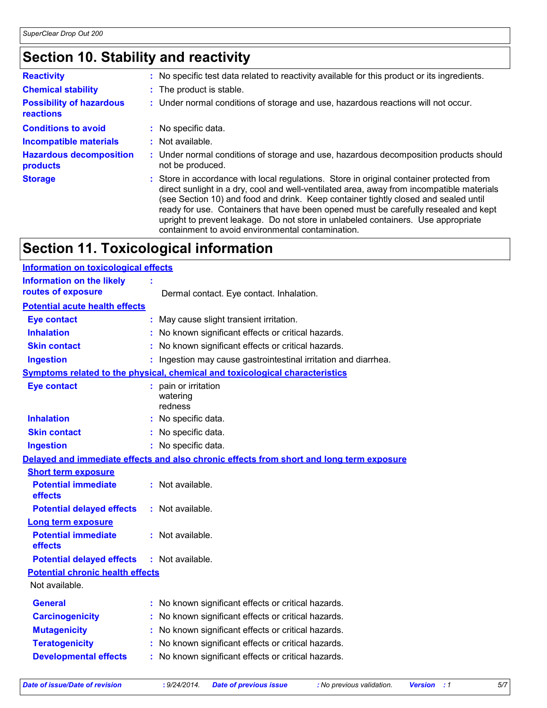# **Section 10. Stability and reactivity**

| <b>Reactivity</b>                            | : No specific test data related to reactivity available for this product or its ingredients.                                                                                                                                                                                                                                                                                                                                                                                                                  |
|----------------------------------------------|---------------------------------------------------------------------------------------------------------------------------------------------------------------------------------------------------------------------------------------------------------------------------------------------------------------------------------------------------------------------------------------------------------------------------------------------------------------------------------------------------------------|
| <b>Chemical stability</b>                    | : The product is stable.                                                                                                                                                                                                                                                                                                                                                                                                                                                                                      |
| <b>Possibility of hazardous</b><br>reactions | : Under normal conditions of storage and use, hazardous reactions will not occur.                                                                                                                                                                                                                                                                                                                                                                                                                             |
| <b>Conditions to avoid</b>                   | : No specific data.                                                                                                                                                                                                                                                                                                                                                                                                                                                                                           |
| <b>Incompatible materials</b>                | $:$ Not available.                                                                                                                                                                                                                                                                                                                                                                                                                                                                                            |
| <b>Hazardous decomposition</b><br>products   | : Under normal conditions of storage and use, hazardous decomposition products should<br>not be produced.                                                                                                                                                                                                                                                                                                                                                                                                     |
| <b>Storage</b>                               | : Store in accordance with local regulations. Store in original container protected from<br>direct sunlight in a dry, cool and well-ventilated area, away from incompatible materials<br>(see Section 10) and food and drink. Keep container tightly closed and sealed until<br>ready for use. Containers that have been opened must be carefully resealed and kept<br>upright to prevent leakage. Do not store in unlabeled containers. Use appropriate<br>containment to avoid environmental contamination. |

# **Section 11. Toxicological information**

| <b>Information on toxicological effects</b>            |                                                                                          |  |  |  |
|--------------------------------------------------------|------------------------------------------------------------------------------------------|--|--|--|
| <b>Information on the likely</b><br>routes of exposure | Dermal contact. Eye contact. Inhalation.                                                 |  |  |  |
| <b>Potential acute health effects</b>                  |                                                                                          |  |  |  |
| <b>Eye contact</b>                                     | : May cause slight transient irritation.                                                 |  |  |  |
| <b>Inhalation</b>                                      | : No known significant effects or critical hazards.                                      |  |  |  |
| <b>Skin contact</b>                                    | : No known significant effects or critical hazards.                                      |  |  |  |
| <b>Ingestion</b>                                       | : Ingestion may cause gastrointestinal irritation and diarrhea.                          |  |  |  |
|                                                        | Symptoms related to the physical, chemical and toxicological characteristics             |  |  |  |
| <b>Eye contact</b>                                     | : pain or irritation<br>watering<br>redness                                              |  |  |  |
| <b>Inhalation</b>                                      | : No specific data.                                                                      |  |  |  |
| <b>Skin contact</b>                                    | : No specific data.                                                                      |  |  |  |
| <b>Ingestion</b>                                       | : No specific data.                                                                      |  |  |  |
|                                                        | Delayed and immediate effects and also chronic effects from short and long term exposure |  |  |  |
| <b>Short term exposure</b>                             |                                                                                          |  |  |  |
| <b>Potential immediate</b><br>effects                  | : Not available.                                                                         |  |  |  |
| <b>Potential delayed effects</b>                       | : Not available.                                                                         |  |  |  |
| <b>Long term exposure</b>                              |                                                                                          |  |  |  |
| <b>Potential immediate</b><br>effects                  | : Not available.                                                                         |  |  |  |
| <b>Potential delayed effects</b>                       | : Not available.                                                                         |  |  |  |
| <b>Potential chronic health effects</b>                |                                                                                          |  |  |  |
| Not available.                                         |                                                                                          |  |  |  |
| <b>General</b>                                         | : No known significant effects or critical hazards.                                      |  |  |  |
| <b>Carcinogenicity</b>                                 | : No known significant effects or critical hazards.                                      |  |  |  |
| <b>Mutagenicity</b>                                    | : No known significant effects or critical hazards.                                      |  |  |  |
| <b>Teratogenicity</b>                                  | : No known significant effects or critical hazards.                                      |  |  |  |
| <b>Developmental effects</b>                           | : No known significant effects or critical hazards.                                      |  |  |  |
|                                                        |                                                                                          |  |  |  |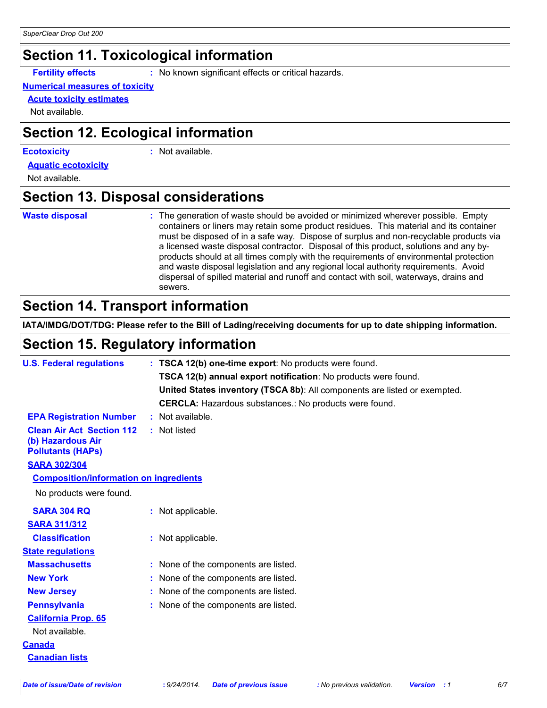### **Section 11. Toxicological information**

**Fertility effects :** No known significant effects or critical hazards.

#### **Numerical measures of toxicity**

**Acute toxicity estimates**

Not available.

### **Section 12. Ecological information**

#### **Ecotoxicity :**

: Not available.

**Aquatic ecotoxicity**

Not available.

### **Section 13. Disposal considerations**

#### **Waste disposal :**

The generation of waste should be avoided or minimized wherever possible. Empty containers or liners may retain some product residues. This material and its container must be disposed of in a safe way. Dispose of surplus and non-recyclable products via a licensed waste disposal contractor. Disposal of this product, solutions and any byproducts should at all times comply with the requirements of environmental protection and waste disposal legislation and any regional local authority requirements. Avoid dispersal of spilled material and runoff and contact with soil, waterways, drains and sewers.

# **Section 14. Transport information**

**IATA/IMDG/DOT/TDG: Please refer to the Bill of Lading/receiving documents for up to date shipping information.**

# **Section 15. Regulatory information**

| <b>U.S. Federal regulations</b>                                                   | : TSCA 12(b) one-time export: No products were found.                     |
|-----------------------------------------------------------------------------------|---------------------------------------------------------------------------|
|                                                                                   | TSCA 12(b) annual export notification: No products were found.            |
|                                                                                   | United States inventory (TSCA 8b): All components are listed or exempted. |
|                                                                                   | <b>CERCLA:</b> Hazardous substances.: No products were found.             |
| <b>EPA Registration Number</b>                                                    | : Not available.                                                          |
| <b>Clean Air Act Section 112</b><br>(b) Hazardous Air<br><b>Pollutants (HAPS)</b> | : Not listed                                                              |
| <b>SARA 302/304</b>                                                               |                                                                           |
| <b>Composition/information on ingredients</b>                                     |                                                                           |
| No products were found.                                                           |                                                                           |
| <b>SARA 304 RQ</b>                                                                | : Not applicable.                                                         |
| <b>SARA 311/312</b>                                                               |                                                                           |
| <b>Classification</b>                                                             | : Not applicable.                                                         |
| <b>State regulations</b>                                                          |                                                                           |
| <b>Massachusetts</b>                                                              | : None of the components are listed.                                      |
| <b>New York</b>                                                                   | : None of the components are listed.                                      |
| <b>New Jersey</b>                                                                 | : None of the components are listed.                                      |
| <b>Pennsylvania</b>                                                               | : None of the components are listed.                                      |
| <b>California Prop. 65</b>                                                        |                                                                           |
| Not available.                                                                    |                                                                           |
| <b>Canada</b>                                                                     |                                                                           |
| <b>Canadian lists</b>                                                             |                                                                           |